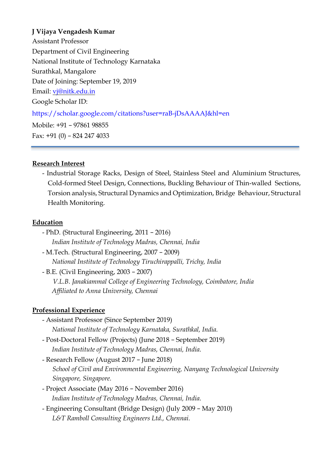# **J Vijaya Vengadesh Kumar**

Assistant Professor Department of Civil Engineering National Institute of Technology Karnataka Surathkal, Mangalore Date of Joining: September 19, 2019 Email: vj@nitk.edu.in Google Scholar ID: https://scholar.google.com/citations?user=raB-jDsAAAAJ&hl=en Mobile: +91 − 97861 98855 Fax: +91 (0) − 824 247 4033

#### **Research Interest**

- Industrial Storage Racks, Design of Steel, Stainless Steel and Aluminium Structures, Cold-formed Steel Design, Connections, Buckling Behaviour of Thin-walled Sections, Torsion analysis, Structural Dynamics and Optimization, Bridge Behaviour, Structural Health Monitoring.

#### **Education**

- PhD. (Structural Engineering, 2011 − 2016) *Indian Institute of Technology Madras, Chennai, India*  - M.Tech. (Structural Engineering, 2007 − 2009) *National Institute of Technology Tiruchirappalli, Trichy, India*  - B.E. (Civil Engineering, 2003 − 2007) *V.L.B. Janakiammal College of Engineering Technology, Coimbatore, India Affiliated to Anna University, Chennai* 

# **Professional Experience**

- Assistant Professor (Since September 2019) *National Institute of Technology Karnataka, Surathkal, India.*
- Post-Doctoral Fellow (Projects) (June 2018 − September 2019) *Indian Institute of Technology Madras, Chennai, India.*
- Research Fellow (August 2017 − June 2018) *School of Civil and Environmental Engineering, Nanyang Technological University Singapore, Singapore.*
- Project Associate (May 2016 − November 2016) *Indian Institute of Technology Madras, Chennai, India.*
- Engineering Consultant (Bridge Design) (July 2009 − May 2010) *L&T Ramboll Consulting Engineers Ltd., Chennai.*